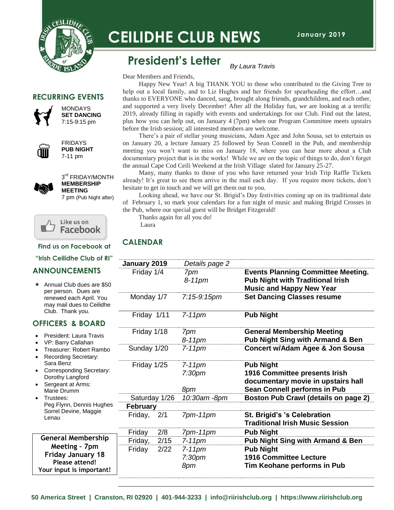

# **CEILIDHE CLUB NEWS**

### **President's Letter**

Dear Members and Friends,

 Happy New Year! A big THANK YOU to those who contributed to the Giving Tree to help out a local family, and to Liz Hughes and her friends for spearheading the effort…and thanks to EVERYONE who danced, sang, brought along friends, grandchildren, and each other, and supported a very lively December! After all the Holiday fun, we are looking at a terrific 2019, already filling in rapidly with events and undertakings for our Club. Find out the latest, plus how you can help out, on January 4 (7pm) when our Program Committee meets upstairs before the Irish session; all interested members are welcome.

*By Laura Travis*

 There's a pair of stellar young musicians, Adam Agee and John Sousa, set to entertain us on January 20, a lecture January 25 followed by Sean Connell in the Pub, and membership meeting you won't want to miss on January 18, where you can hear more about a Club documentary project that is in the works! While we are on the topic of things to do, don't forget the annual Cape Cod Ceili Weekend at the Irish Village slated for January 25-27.

 Many, many thanks to those of you who have returned your Irish Trip Raffle Tickets already! It's great to see them arrive in the mail each day. If you require more tickets, don't hesitate to get in touch and we will get them out to you.

 Looking ahead, we have our St. Brigid's Day festivities coming up on its traditional date of February 1, so mark your calendars for a fun night of music and making Brigid Crosses in the Pub, where our special guest will be Bridget Fitzgerald!

 Thanks again for all you do! Laura

#### **CALENDAR**

|               |      | Details page 2                         |                                                                            |
|---------------|------|----------------------------------------|----------------------------------------------------------------------------|
| Friday 1/4    |      | 7pm                                    | <b>Events Planning Committee Meeting.</b>                                  |
|               |      | $8-11$ pm                              | <b>Pub Night with Traditional Irish</b><br><b>Music and Happy New Year</b> |
| Monday 1/7    |      | 7:15-9:15pm                            | <b>Set Dancing Classes resume</b>                                          |
| Friday 1/11   |      | $7-11$ pm                              | <b>Pub Night</b>                                                           |
| Friday 1/18   |      | 7pm<br>8-11pm                          | <b>General Membership Meeting</b><br>Pub Night Sing with Armand & Ben      |
| Sunday 1/20   |      | $7-11$ pm                              | <b>Concert w/Adam Agee &amp; Jon Sousa</b>                                 |
| Friday 1/25   |      |                                        | <b>Pub Night</b>                                                           |
|               |      | 7:30 <sub>pm</sub>                     | 1916 Committee presents Irish<br>documentary movie in upstairs hall        |
|               |      | 8pm                                    | Sean Connell performs in Pub                                               |
| Saturday 1/26 |      | 10:30am -8pm                           | Boston Pub Crawl (details on page 2)                                       |
|               |      |                                        |                                                                            |
| Friday,       |      | $7pm-11$ pm                            | St. Brigid's 's Celebration<br><b>Traditional Irish Music Session</b>      |
| Friday        | 2/8  | $7pm-11pm$                             | <b>Pub Night</b>                                                           |
| Friday,       | 2/15 | $7-11$ pm                              | <b>Pub Night Sing with Armand &amp; Ben</b>                                |
| Friday<br>18  | 2/22 | $7-11$ pm                              | <b>Pub Night</b>                                                           |
|               |      | 7:30 <sub>pm</sub>                     | <b>1916 Committee Lecture</b>                                              |
|               |      | 8pm                                    | Tim Keohane performs in Pub                                                |
|               |      | January 2019<br><b>February</b><br>2/1 | $7-11$ pm                                                                  |

**RECURRING EVENTS**



MONDAYS **SET DANCING** 7:15-9:15 pm



FRIDAYS **PUB NIGHT** 7-11 pm



3<sup>rd</sup> FRIDAY/MONTH **MEMBERSHIP MEETING** 7 pm (Pub Night after)



**Find us on Facebook at**

**"Irish Ceilidhe Club of RI"**

#### **ANNOUNCEMENTS**

• Annual Club dues are per person. Dues are renewed each April. Y may mail dues to Ceil Club. Thank you.

#### **OFFICERS & BOAR**

- President: Laura Trav
- VP: Barry Callahan
- Treasurer: Robert Ra Recording Secretary:
- Sara Benz
- Corresponding Secre Dorothy Langford
- Sergeant at Arms: Marie Drumm
- Trustees: Peg Flynn, Dennis Hu Sorrel Devine, Maggi Lenau

**General Members Meeting – 7pm Friday January 18 Please attend!** Your input is import